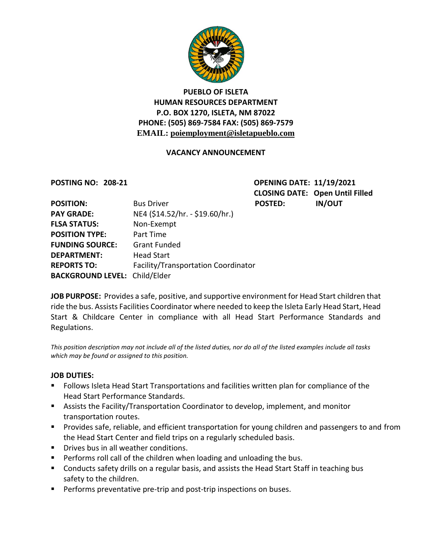

## **PUEBLO OF ISLETA HUMAN RESOURCES DEPARTMENT P.O. BOX 1270, ISLETA, NM 87022 PHONE: (505) 869-7584 FAX: (505) 869-7579 EMAIL: poiemployment@isletapueblo.com**

### **VACANCY ANNOUNCEMENT**

**POSTING NO: 208-21 OPENING DATE: 11/19/2021 CLOSING DATE: Open Until Filled**

| <b>POSITION:</b>                     | <b>Bus Driver</b>                   | <b>POSTED:</b> | <b>IN/OUT</b> |
|--------------------------------------|-------------------------------------|----------------|---------------|
| <b>PAY GRADE:</b>                    | NE4 (\$14.52/hr. - \$19.60/hr.)     |                |               |
| <b>FLSA STATUS:</b>                  | Non-Exempt                          |                |               |
| <b>POSITION TYPE:</b>                | Part Time                           |                |               |
| <b>FUNDING SOURCE:</b>               | <b>Grant Funded</b>                 |                |               |
| <b>DEPARTMENT:</b>                   | <b>Head Start</b>                   |                |               |
| <b>REPORTS TO:</b>                   | Facility/Transportation Coordinator |                |               |
| <b>BACKGROUND LEVEL: Child/Elder</b> |                                     |                |               |

**JOB PURPOSE:** Provides a safe, positive, and supportive environment for Head Start children that ride the bus. Assists Facilities Coordinator where needed to keep the Isleta Early Head Start, Head Start & Childcare Center in compliance with all Head Start Performance Standards and Regulations.

*This position description may not include all of the listed duties, nor do all of the listed examples include all tasks which may be found or assigned to this position.*

### **JOB DUTIES:**

- Follows Isleta Head Start Transportations and facilities written plan for compliance of the Head Start Performance Standards.
- Assists the Facility/Transportation Coordinator to develop, implement, and monitor transportation routes.
- **Provides safe, reliable, and efficient transportation for young children and passengers to and from** the Head Start Center and field trips on a regularly scheduled basis.
- **Drives bus in all weather conditions.**
- **Performs roll call of the children when loading and unloading the bus.**
- **Conducts safety drills on a regular basis, and assists the Head Start Staff in teaching bus** safety to the children.
- **Performs preventative pre-trip and post-trip inspections on buses.**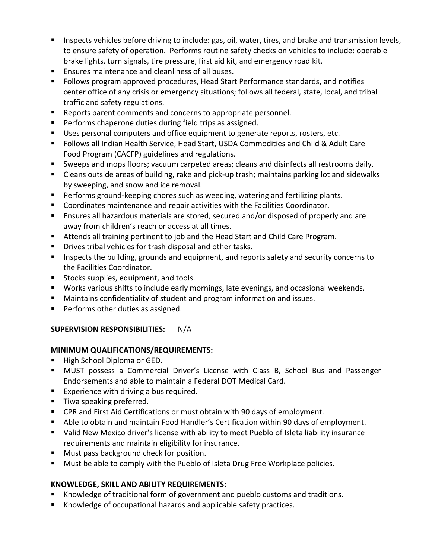- **Inspects vehicles before driving to include: gas, oil, water, tires, and brake and transmission levels,** to ensure safety of operation. Performs routine safety checks on vehicles to include: operable brake lights, turn signals, tire pressure, first aid kit, and emergency road kit.
- **Ensures maintenance and cleanliness of all buses.**
- Follows program approved procedures, Head Start Performance standards, and notifies center office of any crisis or emergency situations; follows all federal, state, local, and tribal traffic and safety regulations.
- Reports parent comments and concerns to appropriate personnel.
- Performs chaperone duties during field trips as assigned.
- Uses personal computers and office equipment to generate reports, rosters, etc.
- Follows all Indian Health Service, Head Start, USDA Commodities and Child & Adult Care Food Program (CACFP) guidelines and regulations.
- Sweeps and mops floors; vacuum carpeted areas; cleans and disinfects all restrooms daily.
- Cleans outside areas of building, rake and pick-up trash; maintains parking lot and sidewalks by sweeping, and snow and ice removal.
- **Performs ground-keeping chores such as weeding, watering and fertilizing plants.**
- **Coordinates maintenance and repair activities with the Facilities Coordinator.**
- **Ensures all hazardous materials are stored, secured and/or disposed of properly and are** away from children's reach or access at all times.
- Attends all training pertinent to job and the Head Start and Child Care Program.
- **Drives tribal vehicles for trash disposal and other tasks.**
- Inspects the building, grounds and equipment, and reports safety and security concerns to the Facilities Coordinator.
- **Stocks supplies, equipment, and tools.**
- Works various shifts to include early mornings, late evenings, and occasional weekends.
- Maintains confidentiality of student and program information and issues.
- **Performs other duties as assigned.**

### **SUPERVISION RESPONSIBILITIES:** N/A

### **MINIMUM QUALIFICATIONS/REQUIREMENTS:**

- High School Diploma or GED.
- MUST possess a Commercial Driver's License with Class B, School Bus and Passenger Endorsements and able to maintain a Federal DOT Medical Card.
- **Experience with driving a bus required.**
- **Tiwa speaking preferred.**
- CPR and First Aid Certifications or must obtain with 90 days of employment.
- Able to obtain and maintain Food Handler's Certification within 90 days of employment.
- Valid New Mexico driver's license with ability to meet Pueblo of Isleta liability insurance requirements and maintain eligibility for insurance.
- **Must pass background check for position.**
- **Must be able to comply with the Pueblo of Isleta Drug Free Workplace policies.**

# **KNOWLEDGE, SKILL AND ABILITY REQUIREMENTS:**

- Knowledge of traditional form of government and pueblo customs and traditions.
- Knowledge of occupational hazards and applicable safety practices.